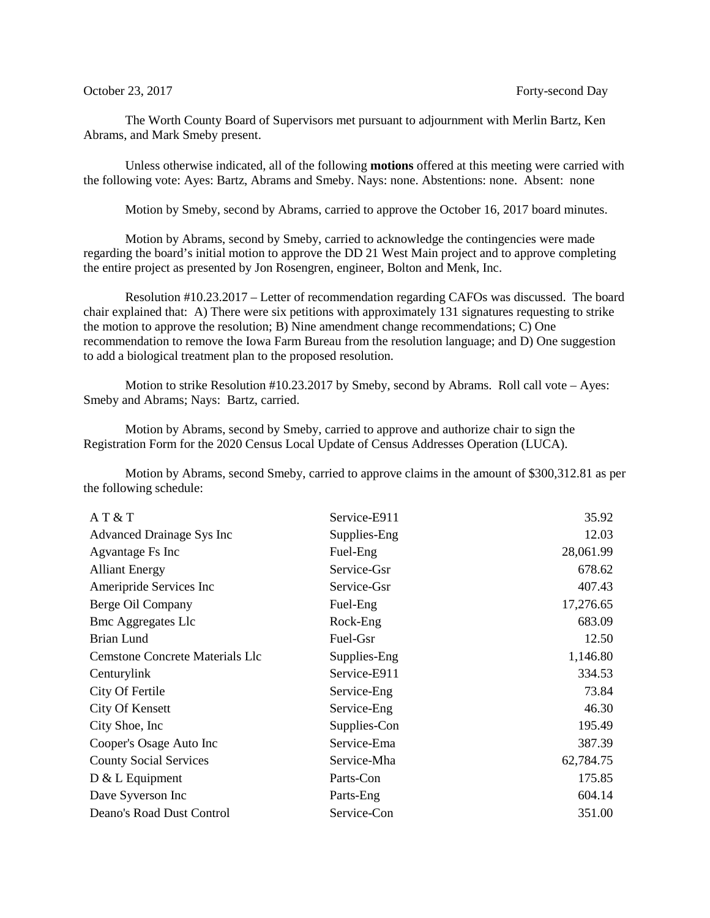The Worth County Board of Supervisors met pursuant to adjournment with Merlin Bartz, Ken Abrams, and Mark Smeby present.

Unless otherwise indicated, all of the following **motions** offered at this meeting were carried with the following vote: Ayes: Bartz, Abrams and Smeby. Nays: none. Abstentions: none. Absent: none

Motion by Smeby, second by Abrams, carried to approve the October 16, 2017 board minutes.

Motion by Abrams, second by Smeby, carried to acknowledge the contingencies were made regarding the board's initial motion to approve the DD 21 West Main project and to approve completing the entire project as presented by Jon Rosengren, engineer, Bolton and Menk, Inc.

Resolution #10.23.2017 – Letter of recommendation regarding CAFOs was discussed. The board chair explained that: A) There were six petitions with approximately 131 signatures requesting to strike the motion to approve the resolution; B) Nine amendment change recommendations; C) One recommendation to remove the Iowa Farm Bureau from the resolution language; and D) One suggestion to add a biological treatment plan to the proposed resolution.

Motion to strike Resolution #10.23.2017 by Smeby, second by Abrams. Roll call vote – Ayes: Smeby and Abrams; Nays: Bartz, carried.

Motion by Abrams, second by Smeby, carried to approve and authorize chair to sign the Registration Form for the 2020 Census Local Update of Census Addresses Operation (LUCA).

Motion by Abrams, second Smeby, carried to approve claims in the amount of \$300,312.81 as per the following schedule:

| AT & T                                 | Service-E911 | 35.92     |
|----------------------------------------|--------------|-----------|
| Advanced Drainage Sys Inc              | Supplies-Eng | 12.03     |
| Agvantage Fs Inc                       | Fuel-Eng     | 28,061.99 |
| <b>Alliant Energy</b>                  | Service-Gsr  | 678.62    |
| Ameripride Services Inc                | Service-Gsr  | 407.43    |
| Berge Oil Company                      | Fuel-Eng     | 17,276.65 |
| <b>Bmc Aggregates Llc</b>              | Rock-Eng     | 683.09    |
| Brian Lund                             | Fuel-Gsr     | 12.50     |
| <b>Cemstone Concrete Materials Llc</b> | Supplies-Eng | 1,146.80  |
| Centurylink                            | Service-E911 | 334.53    |
| City Of Fertile                        | Service-Eng  | 73.84     |
| City Of Kensett                        | Service-Eng  | 46.30     |
| City Shoe, Inc.                        | Supplies-Con | 195.49    |
| Cooper's Osage Auto Inc                | Service-Ema  | 387.39    |
| <b>County Social Services</b>          | Service-Mha  | 62,784.75 |
| $D & L$ Equipment                      | Parts-Con    | 175.85    |
| Dave Syverson Inc                      | Parts-Eng    | 604.14    |
| Deano's Road Dust Control              | Service-Con  | 351.00    |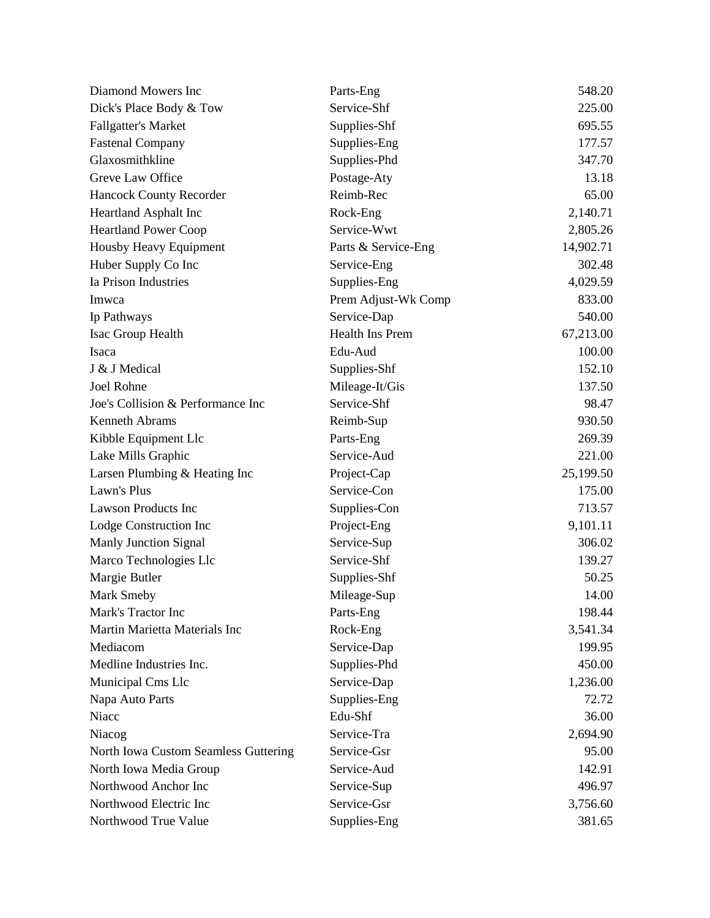| Diamond Mowers Inc                   | Parts-Eng           | 548.20    |
|--------------------------------------|---------------------|-----------|
| Dick's Place Body & Tow              | Service-Shf         | 225.00    |
| <b>Fallgatter's Market</b>           | Supplies-Shf        | 695.55    |
| <b>Fastenal Company</b>              | Supplies-Eng        | 177.57    |
| Glaxosmithkline                      | Supplies-Phd        | 347.70    |
| Greve Law Office                     | Postage-Aty         | 13.18     |
| Hancock County Recorder              | Reimb-Rec           | 65.00     |
| Heartland Asphalt Inc                | Rock-Eng            | 2,140.71  |
| <b>Heartland Power Coop</b>          | Service-Wwt         | 2,805.26  |
| Housby Heavy Equipment               | Parts & Service-Eng | 14,902.71 |
| Huber Supply Co Inc                  | Service-Eng         | 302.48    |
| Ia Prison Industries                 | Supplies-Eng        | 4,029.59  |
| Imwca                                | Prem Adjust-Wk Comp | 833.00    |
| Ip Pathways                          | Service-Dap         | 540.00    |
| Isac Group Health                    | Health Ins Prem     | 67,213.00 |
| Isaca                                | Edu-Aud             | 100.00    |
| J & J Medical                        | Supplies-Shf        | 152.10    |
| Joel Rohne                           | Mileage-It/Gis      | 137.50    |
| Joe's Collision & Performance Inc    | Service-Shf         | 98.47     |
| Kenneth Abrams                       | Reimb-Sup           | 930.50    |
| Kibble Equipment Llc                 | Parts-Eng           | 269.39    |
| Lake Mills Graphic                   | Service-Aud         | 221.00    |
| Larsen Plumbing & Heating Inc        | Project-Cap         | 25,199.50 |
| Lawn's Plus                          | Service-Con         | 175.00    |
| <b>Lawson Products Inc</b>           | Supplies-Con        | 713.57    |
| Lodge Construction Inc               | Project-Eng         | 9,101.11  |
| <b>Manly Junction Signal</b>         | Service-Sup         | 306.02    |
| Marco Technologies Llc               | Service-Shf         | 139.27    |
| Margie Butler                        | Supplies-Shf        | 50.25     |
| Mark Smeby                           | Mileage-Sup         | 14.00     |
| Mark's Tractor Inc                   | Parts-Eng           | 198.44    |
| Martin Marietta Materials Inc        | Rock-Eng            | 3,541.34  |
| Mediacom                             | Service-Dap         | 199.95    |
| Medline Industries Inc.              | Supplies-Phd        | 450.00    |
| Municipal Cms Llc                    | Service-Dap         | 1,236.00  |
| Napa Auto Parts                      | Supplies-Eng        | 72.72     |
| Niacc                                | Edu-Shf             | 36.00     |
| Niacog                               | Service-Tra         | 2,694.90  |
| North Iowa Custom Seamless Guttering | Service-Gsr         | 95.00     |
| North Iowa Media Group               | Service-Aud         | 142.91    |
| Northwood Anchor Inc                 | Service-Sup         | 496.97    |
| Northwood Electric Inc               | Service-Gsr         | 3,756.60  |
| Northwood True Value                 | Supplies-Eng        | 381.65    |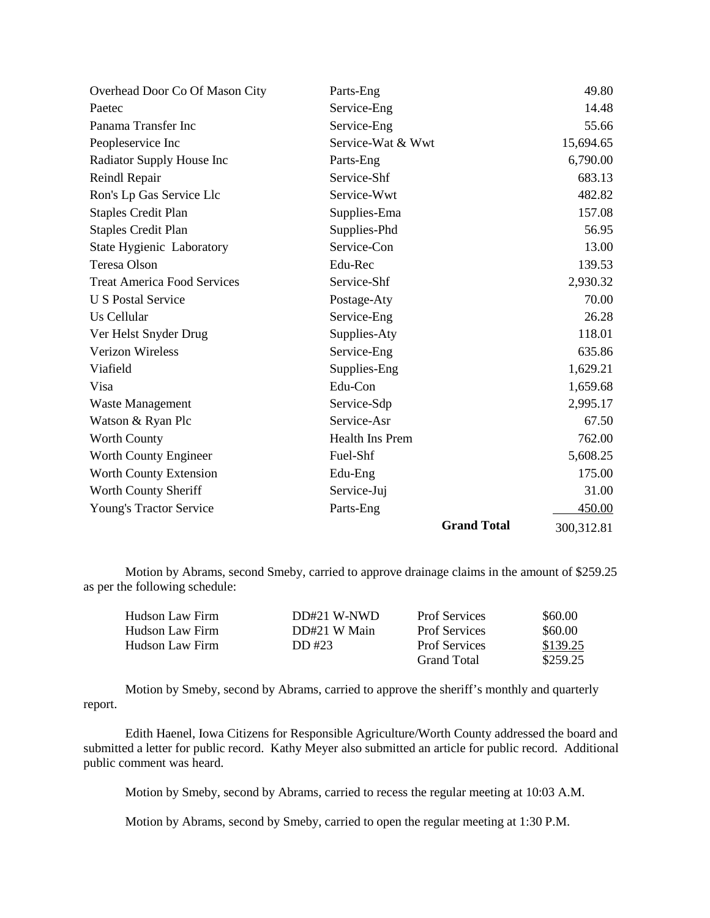| Overhead Door Co Of Mason City     | Parts-Eng              | 49.80      |
|------------------------------------|------------------------|------------|
| Paetec                             | Service-Eng            | 14.48      |
| Panama Transfer Inc                | Service-Eng            | 55.66      |
| Peopleservice Inc                  | Service-Wat & Wwt      | 15,694.65  |
| Radiator Supply House Inc          | Parts-Eng              | 6,790.00   |
| Reindl Repair                      | Service-Shf            | 683.13     |
| Ron's Lp Gas Service Llc           | Service-Wwt            | 482.82     |
| <b>Staples Credit Plan</b>         | Supplies-Ema           | 157.08     |
| <b>Staples Credit Plan</b>         | Supplies-Phd           | 56.95      |
| <b>State Hygienic Laboratory</b>   | Service-Con            | 13.00      |
| Teresa Olson                       | Edu-Rec                | 139.53     |
| <b>Treat America Food Services</b> | Service-Shf            | 2,930.32   |
| <b>U S Postal Service</b>          | Postage-Aty            | 70.00      |
| Us Cellular                        | Service-Eng            | 26.28      |
| Ver Helst Snyder Drug              | Supplies-Aty           | 118.01     |
| <b>Verizon Wireless</b>            | Service-Eng            | 635.86     |
| Viafield                           | Supplies-Eng           | 1,629.21   |
| Visa                               | Edu-Con                | 1,659.68   |
| Waste Management                   | Service-Sdp            | 2,995.17   |
| Watson & Ryan Plc                  | Service-Asr            | 67.50      |
| <b>Worth County</b>                | <b>Health Ins Prem</b> | 762.00     |
| Worth County Engineer              | Fuel-Shf               | 5,608.25   |
| Worth County Extension             | Edu-Eng                | 175.00     |
| Worth County Sheriff               | Service-Juj            | 31.00      |
| Young's Tractor Service            | Parts-Eng              | 450.00     |
|                                    | <b>Grand Total</b>     | 300,312.81 |

Motion by Abrams, second Smeby, carried to approve drainage claims in the amount of \$259.25 as per the following schedule:

| Hudson Law Firm | $DD#21$ W-NWD | <b>Prof Services</b> | \$60.00  |
|-----------------|---------------|----------------------|----------|
| Hudson Law Firm | DD#21 W Main  | <b>Prof Services</b> | \$60.00  |
| Hudson Law Firm | DD #23        | <b>Prof Services</b> | \$139.25 |
|                 |               | <b>Grand Total</b>   | \$259.25 |

Motion by Smeby, second by Abrams, carried to approve the sheriff's monthly and quarterly report.

Edith Haenel, Iowa Citizens for Responsible Agriculture/Worth County addressed the board and submitted a letter for public record. Kathy Meyer also submitted an article for public record. Additional public comment was heard.

Motion by Smeby, second by Abrams, carried to recess the regular meeting at 10:03 A.M.

Motion by Abrams, second by Smeby, carried to open the regular meeting at 1:30 P.M.